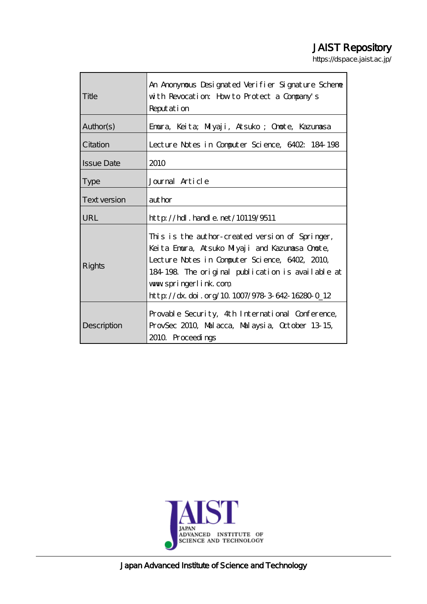# JAIST Repository

https://dspace.jaist.ac.jp/

| Title               | An Anonymous Designated Verifier Signature Scheme<br>with Revocation: How to Protect a Company's<br>Reputation                                                                                                                                                                    |  |  |  |
|---------------------|-----------------------------------------------------------------------------------------------------------------------------------------------------------------------------------------------------------------------------------------------------------------------------------|--|--|--|
| Author(s)           | Emura, Keita; Miyaji, Atsuko; Omote, Kazumasa                                                                                                                                                                                                                                     |  |  |  |
| Citation            | Lecture Notes in Computer Science, 6402: 184-198                                                                                                                                                                                                                                  |  |  |  |
| <b>Issue Date</b>   | 2010                                                                                                                                                                                                                                                                              |  |  |  |
| <b>Type</b>         | Journal Article                                                                                                                                                                                                                                                                   |  |  |  |
| <b>Text version</b> | author                                                                                                                                                                                                                                                                            |  |  |  |
| URL                 | $http$ // $hdl$ . handle. net/10119/9511                                                                                                                                                                                                                                          |  |  |  |
| <b>Rights</b>       | This is the author-created version of Springer,<br>Keita Emora, Atsuko Miyaji and Kazumasa Omote,<br>Lecture Notes in Computer Science, 6402, 2010,<br>184-198 The original publication is available at<br>www.springerlink.com<br>http://dx.doi.org/10.1007/978-3-642-16280-0_12 |  |  |  |
| Description         | Provable Security, 4th International Conference,<br>ProvSec 2010, Malacca, Malaysia, October 13-15,<br>2010 Proceedings                                                                                                                                                           |  |  |  |



Japan Advanced Institute of Science and Technology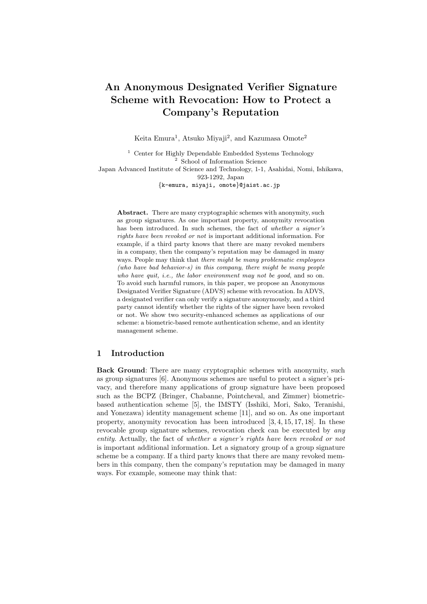## **An Anonymous Designated Verifier Signature Scheme with Revocation: How to Protect a Company's Reputation**

Keita Emura<sup>1</sup>, Atsuko Miyaji<sup>2</sup>, and Kazumasa Omote<sup>2</sup>

<sup>1</sup> Center for Highly Dependable Embedded Systems Technology <sup>2</sup> School of Information Science Japan Advanced Institute of Science and Technology, 1-1, Asahidai, Nomi, Ishikawa, 923-1292, Japan *{*k-emura, miyaji, omote*}*@jaist.ac.jp

Abstract. There are many cryptographic schemes with anonymity, such as group signatures. As one important property, anonymity revocation has been introduced. In such schemes, the fact of *whether a signer's rights have been revoked or not* is important additional information. For example, if a third party knows that there are many revoked members in a company, then the company's reputation may be damaged in many ways. People may think that *there might be many problematic employees (who have bad behavior-s) in this company*, *there might be many people who have quit, i.e., the labor environment may not be good*, and so on. To avoid such harmful rumors, in this paper, we propose an Anonymous Designated Verifier Signature (ADVS) scheme with revocation. In ADVS, a designated verifier can only verify a signature anonymously, and a third party cannot identify whether the rights of the signer have been revoked or not. We show two security-enhanced schemes as applications of our scheme: a biometric-based remote authentication scheme, and an identity management scheme.

## **1 Introduction**

**Back Ground**: There are many cryptographic schemes with anonymity, such as group signatures [6]. Anonymous schemes are useful to protect a signer's privacy, and therefore many applications of group signature have been proposed such as the BCPZ (Bringer, Chabanne, Pointcheval, and Zimmer) biometricbased authentication scheme [5], the IMSTY (Isshiki, Mori, Sako, Teranishi, and Yonezawa) identity management scheme [11], and so on. As one important property, anonymity revocation has been introduced [3, 4, 15, 17, 18]. In these revocable group signature schemes, revocation check can be executed by *any entity*. Actually, the fact of *whether a signer's rights have been revoked or not* is important additional information. Let a signatory group of a group signature scheme be a company. If a third party knows that there are many revoked members in this company, then the company's reputation may be damaged in many ways. For example, someone may think that: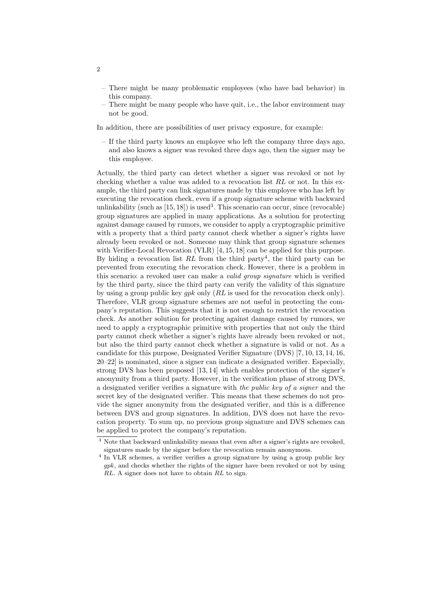- There might be many problematic employees (who have bad behavior) in this company.
- There might be many people who have quit, i.e., the labor environment may not be good.

In addition, there are possibilities of user privacy exposure, for example:

– If the third party knows an employee who left the company three days ago, and also knows a signer was revoked three days ago, then the signer may be this employee.

Actually, the third party can detect whether a signer was revoked or not by checking whether a value was added to a revocation list *RL* or not. In this example, the third party can link signatures made by this employee who has left by executing the revocation check, even if a group signature scheme with backward unlinkability (such as  $[15, 18]$ ) is used<sup>3</sup>. This scenario can occur, since (revocable) group signatures are applied in many applications. As a solution for protecting against damage caused by rumors, we consider to apply a cryptographic primitive with a property that a third party cannot check whether a signer's rights have already been revoked or not. Someone may think that group signature schemes with Verifier-Local Revocation (VLR) [4, 15, 18] can be applied for this purpose. By hiding a revocation list  $RL$  from the third party<sup>4</sup>, the third party can be prevented from executing the revocation check. However, there is a problem in this scenario: a revoked user can make a *valid group signature* which is verified by the third party, since the third party can verify the validity of this signature by using a group public key *gpk* only (*RL* is used for the revocation check only). Therefore, VLR group signature schemes are not useful in protecting the company's reputation. This suggests that it is not enough to restrict the revocation check. As another solution for protecting against damage caused by rumors, we need to apply a cryptographic primitive with properties that not only the third party cannot check whether a signer's rights have already been revoked or not, but also the third party cannot check whether a signature is valid or not. As a candidate for this purpose, Designated Verifier Signature (DVS) [7, 10, 13, 14, 16, 20–22] is nominated, since a signer can indicate a designated verifier. Especially, strong DVS has been proposed [13, 14] which enables protection of the signer's anonymity from a third party. However, in the verification phase of strong DVS, a designated verifier verifies a signature with *the public key of a signer* and the secret key of the designated verifier. This means that these schemes do not provide the signer anonymity from the designated verifier, and this is a difference between DVS and group signatures. In addition, DVS does not have the revocation property. To sum up, no previous group signature and DVS schemes can be applied to protect the company's reputation.

<sup>&</sup>lt;sup>3</sup> Note that backward unlinkability means that even after a signer's rights are revoked, signatures made by the signer before the revocation remain anonymous.

<sup>&</sup>lt;sup>4</sup> In VLR schemes, a verifier verifies a group signature by using a group public key *gpk*, and checks whether the rights of the signer have been revoked or not by using *RL*. A signer does not have to obtain *RL* to sign.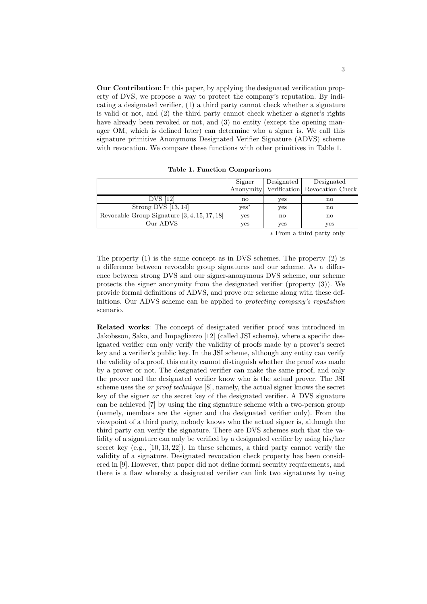**Our Contribution**: In this paper, by applying the designated verification property of DVS, we propose a way to protect the company's reputation. By indicating a designated verifier, (1) a third party cannot check whether a signature is valid or not, and (2) the third party cannot check whether a signer's rights have already been revoked or not, and (3) no entity (except the opening manager OM, which is defined later) can determine who a signer is. We call this signature primitive Anonymous Designated Verifier Signature (ADVS) scheme with revocation. We compare these functions with other primitives in Table 1.

|                                                | Signer        | Designated             | Designated                              |
|------------------------------------------------|---------------|------------------------|-----------------------------------------|
|                                                |               |                        | Anonymity Verification Revocation Check |
| <b>DVS</b> [12]                                | $\mathbf{n}$  | yes                    | $\mathbf{n}\mathbf{o}$                  |
| Strong DVS $[1\overline{3,14}]$                | ${\rm yes}^*$ | yes                    | $\mathbf{n}$                            |
| Revocable Group Signature $[3, 4, 15, 17, 18]$ | yes           | $\mathbf{n}\mathbf{o}$ | $\mathbf{n}\mathbf{o}$                  |
| Our ADVS                                       | yes           | yes                    | yes                                     |

**Table 1. Function Comparisons**

*∗* From a third party only

The property (1) is the same concept as in DVS schemes. The property (2) is a difference between revocable group signatures and our scheme. As a difference between strong DVS and our signer-anonymous DVS scheme, our scheme protects the signer anonymity from the designated verifier (property (3)). We provide formal definitions of ADVS, and prove our scheme along with these definitions. Our ADVS scheme can be applied to *protecting company's reputation* scenario.

**Related works**: The concept of designated verifier proof was introduced in Jakobsson, Sako, and Impagliazzo [12] (called JSI scheme), where a specific designated verifier can only verify the validity of proofs made by a prover's secret key and a verifier's public key. In the JSI scheme, although any entity can verify the validity of a proof, this entity cannot distinguish whether the proof was made by a prover or not. The designated verifier can make the same proof, and only the prover and the designated verifier know who is the actual prover. The JSI scheme uses the *or proof technique* [8], namely, the actual signer knows the secret key of the signer *or* the secret key of the designated verifier. A DVS signature can be achieved [7] by using the ring signature scheme with a two-person group (namely, members are the signer and the designated verifier only). From the viewpoint of a third party, nobody knows who the actual signer is, although the third party can verify the signature. There are DVS schemes such that the validity of a signature can only be verified by a designated verifier by using his/her secret key (e.g., [10, 13, 22]). In these schemes, a third party cannot verify the validity of a signature. Designated revocation check property has been considered in [9]. However, that paper did not define formal security requirements, and there is a flaw whereby a designated verifier can link two signatures by using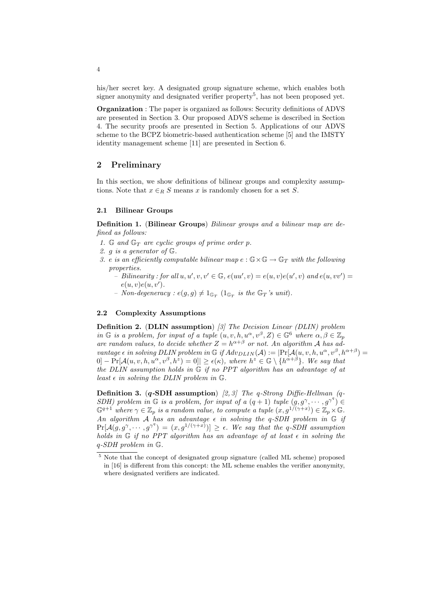his/her secret key. A designated group signature scheme, which enables both signer anonymity and designated verifier property<sup>5</sup>, has not been proposed yet.

**Organization** : The paper is organized as follows: Security definitions of ADVS are presented in Section 3. Our proposed ADVS scheme is described in Section 4. The security proofs are presented in Section 5. Applications of our ADVS scheme to the BCPZ biometric-based authentication scheme [5] and the IMSTY identity management scheme [11] are presented in Section 6.

## **2 Preliminary**

In this section, we show definitions of bilinear groups and complexity assumptions. Note that  $x \in_R S$  means  $x$  is randomly chosen for a set  $S$ .

## **2.1 Bilinear Groups**

**Definition 1.** (**Bilinear Groups**) *Bilinear groups and a bilinear map are defined as follows:*

- 1.  $\mathbb{G}$  *and*  $\mathbb{G}_T$  *are cyclic groups of prime order p.*
- *2. g is a generator of* G*.*
- *3. e is an efficiently computable bilinear map*  $e : \mathbb{G} \times \mathbb{G} \to \mathbb{G}_T$  *with the following properties.*
	- Bilinearity: for all  $u, u', v, v' \in \mathbb{G}$ ,  $e(uu', v) = e(u, v)e(u', v)$  and  $e(u, vv') =$  $e(u, v)e(u, v').$
	- *– Non-degeneracy* :  $e(g, g) \neq 1_{\mathbb{G}_T}$  ( $1_{\mathbb{G}_T}$  *is the*  $\mathbb{G}_T$ *'s unit*).

#### **2.2 Complexity Assumptions**

**Definition 2.** (**DLIN assumption**) *[3] The Decision Linear (DLIN) problem in* G *is a problem, for input of a tuple*  $(u, v, h, u^{\alpha}, v^{\beta}, Z) \in \mathbb{G}^6$  where  $\alpha, \beta \in \mathbb{Z}_p$ *are random values, to decide whether*  $Z = h^{\alpha+\beta}$  *or not. An algorithm A has ad-* $$  $[0] - \Pr[\mathcal{A}(u, v, h, u^{\alpha}, v^{\beta}, h^z) = 0] \ge \epsilon(\kappa)$ , where  $h^z \in \mathbb{G} \setminus \{h^{\alpha+\beta}\}\$ . We say that *the DLIN assumption holds in* G *if no PPT algorithm has an advantage of at least*  $\epsilon$  *in solving the DLIN problem in*  $\mathbb{G}$ *.* 

**Definition 3.** (*q-***SDH assumption**) *[2, 3] The q-Strong Diffie-Hellman (q-SDH)* problem in  $G$  *is a problem, for input of a*  $(q + 1)$  *tuple*  $(q, g^{\gamma}, \dots, g^{\gamma^q}) \in$  $\mathbb{G}^{q+1}$  where  $\gamma \in \mathbb{Z}_p$  *is a random value, to compute a tuple*  $(x, g^{1/(\gamma+x)}) \in \mathbb{Z}_p \times \mathbb{G}$ *. An algorithm A has an advantage*  $\epsilon$  *in solving the*  $q$ *-SDH problem in*  $\mathbb{G}$  *if*  $\Pr[\mathcal{A}(g, g^{\gamma}, \dots, g^{\gamma^q}) = (x, g^{1/(\gamma+x)})] \ge \epsilon$ . We say that the *q*-SDH assumption *holds in*  $G$  *if no PPT algorithm has an advantage of at least*  $\epsilon$  *in solving the q-SDH problem in* G*.*

4

<sup>5</sup> Note that the concept of designated group signature (called ML scheme) proposed in [16] is different from this concept: the ML scheme enables the verifier anonymity, where designated verifiers are indicated.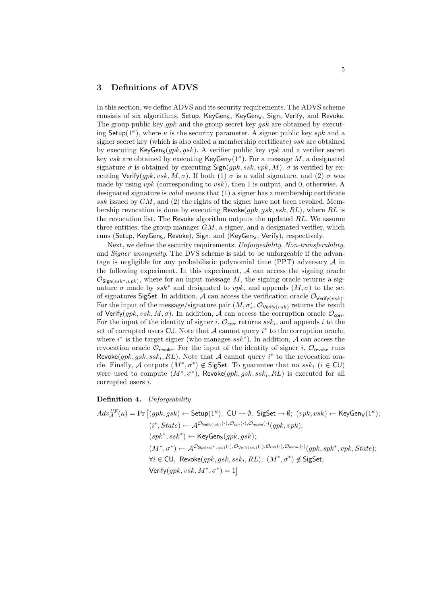## **3 Definitions of ADVS**

In this section, we define ADVS and its security requirements. The ADVS scheme consists of six algorithms, Setup, KeyGen<sub>S</sub>, KeyGen<sub>V</sub>, Sign, Verify, and Revoke. The group public key *gpk* and the group secret key *gsk* are obtained by executing  $\mathsf{Setup}(1^{\kappa})$ , where  $\kappa$  is the security parameter. A signer public key *spk* and a signer secret key (which is also called a membership certificate) *ssk* are obtained by executing KeyGen<sub>S</sub>(*gpk, gsk*). A verifier public key *vpk* and a verifier secret key *vsk* are obtained by executing  $KeyGen_V(1^{\kappa})$ . For a message M, a designated signature  $\sigma$  is obtained by executing  $Sign(gpk, ssk, vpk, M)$ .  $\sigma$  is verified by executing Verify( $gpk, vsk, M, \sigma$ ). If both (1)  $\sigma$  is a valid signature, and (2)  $\sigma$  was made by using *vpk* (corresponding to *vsk*), then 1 is output, and 0, otherwise. A designated signature is *valid* means that (1) a signer has a membership certificate *ssk* issued by *GM*, and (2) the rights of the signer have not been revoked. Membership revocation is done by executing Revoke(*gpk, gsk, ssk, RL*), where *RL* is the revocation list. The Revoke algorithm outputs the updated *RL*. We assume three entities, the group manager *GM*, a signer, and a designated verifier, which runs (Setup, KeyGen<sub>S</sub>, Revoke), Sign, and (KeyGen<sub>V</sub>, Verify), respectively.

Next, we define the security requirements: *Unforgeability*, *Non-transferability*, and *Signer anonymity*. The DVS scheme is said to be unforgeable if the advantage is negligible for any probabilistic polynomial time (PPT) adversary *A* in the following experiment. In this experiment, *A* can access the signing oracle  $\mathcal{O}_{\mathsf{Sign}(ssk^*,vpk)}$ , where for an input message *M*, the signing oracle returns a signature  $\sigma$  made by  $ssk^*$  and designated to *vpk*, and appends  $(M, \sigma)$  to the set of signatures SigSet. In addition, A can access the verification oracle  $\mathcal{O}_{\text{Verify}(vsk)}$ . For the input of the message/signature pair  $(M, \sigma)$ ,  $\mathcal{O}_{\mathsf{Verify}(vsk)}$  returns the result of Verify(*qpk, vsk, M,*  $\sigma$ ). In addition, A can access the corruption oracle  $\mathcal{O}_{\text{corr}}$ . For the input of the identity of signer *i*,  $\mathcal{O}_{\text{corr}}$  returns  $ssk_i$ , and appends *i* to the set of corrupted users CU. Note that *A* cannot query *i ∗* to the corruption oracle, where *i ∗* is the target signer (who manages *ssk<sup>∗</sup>* ). In addition, *A* can access the revocation oracle  $\mathcal{O}_{\text{revoke}}$ . For the input of the identity of signer *i*,  $\mathcal{O}_{\text{revoke}}$  runs Revoke $(gpk, gsk, ssk_i, RL)$ . Note that  $A$  cannot query  $i^*$  to the revocation oracle. Finally, *A* outputs  $(M^*, \sigma^*) \notin \mathsf{SigSet}$ . To guarantee that no  $ssk_i$   $(i \in \mathsf{CU})$ were used to compute  $(M^*, \sigma^*)$ , Revoke $(gpk, gsk, ssk_i, RL)$  is executed for all corrupted users *i*.

#### **Definition 4.** *Unforgeability*

$$
Adv_{\mathcal{A}}^{UF}(\kappa) = \Pr\left[(gpk, gsk) \leftarrow \textsf{Setup}(1^{\kappa}); \ \textsf{CU} \rightarrow \emptyset; \ \textsf{SigSet} \rightarrow \emptyset; \ (vpk, vsk) \leftarrow \textsf{KeyGen}_{\mathsf{V}}(1^{\kappa}); \\ (i^*, State) \leftarrow \mathcal{A}^{\mathcal{O}_{\textsf{Verify}(vsk)}(\cdot), \mathcal{O}_{\textsf{corr}}(\cdot), \mathcal{O}_{\textsf{revoke}}(\cdot)}(gpk, vpk); \\ (spk^*, ssk^*) \leftarrow \textsf{KeyGen}_{\mathsf{S}}(gpk, gsk); \\ (M^*, \sigma^*) \leftarrow \mathcal{A}^{\mathcal{O}_{\textsf{Sign}(ssk^*, vpk)}(\cdot), \mathcal{O}_{\textsf{Verify}(vsk)}(\cdot), \mathcal{O}_{\textsf{corr}}(\cdot), \mathcal{O}_{\textsf{revoke}}(\cdot)}(gpk, spk^*, vpk, State); \\ \forall i \in \textsf{CU}, \ \textsf{Revoke}(gpk, gsk, ssk_i, RL); \ (M^*, \sigma^*) \not\in \textsf{SigSet}; \\ \textsf{Verify}(gpk, vsk, M^*, \sigma^*) = 1]
$$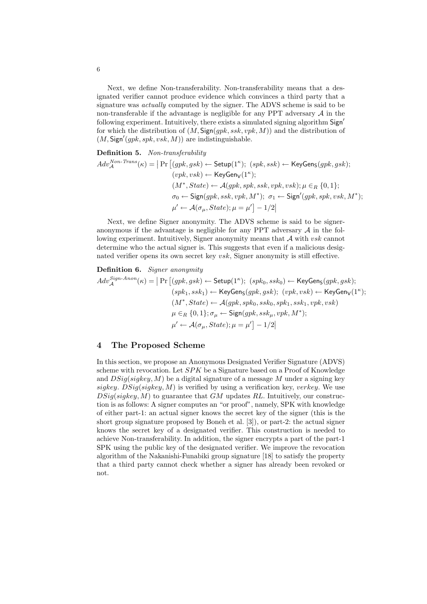Next, we define Non-transferability. Non-transferability means that a designated verifier cannot produce evidence which convinces a third party that a signature was *actually* computed by the signer. The ADVS scheme is said to be non-transferable if the advantage is negligible for any PPT adversary *A* in the following experiment. Intuitively, there exists a simulated signing algorithm Sign*<sup>0</sup>* for which the distribution of (*M,* Sign(*gpk, ssk, vpk, M*)) and the distribution of  $(M, \textsf{Sign}'(gpk, spk, vsk, M))$  are indistinguishable.

**Definition 5.** *Non-transferability*

$$
Adv_{\mathcal{A}}^{Non-Trans}(\kappa) = \left| \Pr \left[ (gpk, gsk) \leftarrow \textsf{Setup}(1^{\kappa}); (spk, ssk) \leftarrow \textsf{KeyGen}_{S}(gpk, gsk);
$$
  
\n
$$
(vpk, vsk) \leftarrow \textsf{KeyGen}_{V}(1^{\kappa});
$$
  
\n
$$
(M^*, State) \leftarrow \mathcal{A}(gpk, spk, ssk, vpk, vsk); \mu \in_R \{0, 1\};
$$
  
\n
$$
\sigma_0 \leftarrow \textsf{Sign}(gpk, ssk, vpk, M^*); \ \sigma_1 \leftarrow \textsf{Sign}'(gpk, spk, vsk, M^*);
$$
  
\n
$$
\mu' \leftarrow \mathcal{A}(\sigma_{\mu}, State); \mu = \mu' \right] - 1/2
$$

Next, we define Signer anonymity. The ADVS scheme is said to be signeranonymous if the advantage is negligible for any PPT adversary *A* in the following experiment. Intuitively, Signer anonymity means that *A* with *vsk* cannot determine who the actual signer is. This suggests that even if a malicious designated verifier opens its own secret key *vsk*, Signer anonymity is still effective.

**Definition 6.** *Signer anonymity*

$$
Adv_{\mathcal{A}}^{Sign\text{-}Anon}(\kappa) = \left| \Pr \left[ (gpk, gsk) \leftarrow \text{Setup}(1^{\kappa}); (spk_0, ssk_0) \leftarrow \text{KeyGen}_{S}(gpk, gsk);
$$
  
\n
$$
(spk_1, ssk_1) \leftarrow \text{KeyGen}_{S}(gpk, gsk); (vpk, vsk) \leftarrow \text{KeyGen}_{V}(1^{\kappa});
$$
  
\n
$$
(M^*, State) \leftarrow \mathcal{A}(gpk, spk_0, ssk_0, spk_1, ssk_1, vpk, vsk)
$$
  
\n
$$
\mu \in_R \{0, 1\}; \sigma_\mu \leftarrow \text{Sign}(gpk, ssk_\mu, vpk, M^*);
$$
  
\n
$$
\mu' \leftarrow \mathcal{A}(\sigma_\mu, State); \mu = \mu' \right] - 1/2
$$

## **4 The Proposed Scheme**

In this section, we propose an Anonymous Designated Verifier Signature (ADVS) scheme with revocation. Let *SPK* be a Signature based on a Proof of Knowledge and *DSig*(*sigkey, M*) be a digital signature of a message *M* under a signing key *sigkey*. *DSig*(*sigkey, M*) is verified by using a verification key, *verkey*. We use *DSig*(*sigkey, M*) to guarantee that *GM* updates *RL*. Intuitively, our construction is as follows: A signer computes an "or proof", namely, SPK with knowledge of either part-1: an actual signer knows the secret key of the signer (this is the short group signature proposed by Boneh et al. [3]), or part-2: the actual signer knows the secret key of a designated verifier. This construction is needed to achieve Non-transferability. In addition, the signer encrypts a part of the part-1 SPK using the public key of the designated verifier. We improve the revocation algorithm of the Nakanishi-Funabiki group signature [18] to satisfy the property that a third party cannot check whether a signer has already been revoked or not.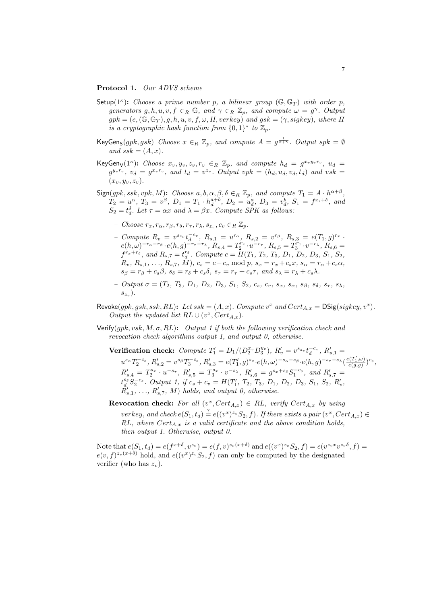#### **Protocol 1.** *Our ADVS scheme*

- Setup(1*<sup>κ</sup>* )**:** *Choose a prime number p, a bilinear group* (G*,* G*<sup>T</sup>* ) *with order p, generators*  $g, h, u, v, f \in_R \mathbb{G}$ , and  $\gamma \in_R \mathbb{Z}_p$ , and compute  $\omega = g^{\gamma}$ . Output  $gpk = (e, (\mathbb{G}, \mathbb{G}_T), g, h, u, v, f, \omega, H, \text{vertex})$  *and*  $gsk = (\gamma, sigkey)$ *, where H is a cryptographic hash function from*  $\{0,1\}^*$  to  $\mathbb{Z}_p$ .
- $\mathsf{KeyGen}_{\mathsf{S}}(gpk, gsk)$  *Choose*  $x \in_R \mathbb{Z}_p$ , and compute  $A = g^{\frac{1}{x+\gamma}}$ . Output  $spk = \emptyset$  $and$   $ssk = (A, x)$ .
- KeyGen<sub>V</sub>(1<sup> $\kappa$ </sup>): *Choose*  $x_v, y_v, z_v, r_v \in_R \mathbb{Z}_p$ , and compute  $h_d = g^{x_v y_v r_v}$ ,  $u_d =$  $g^{y_v r_v}$ ,  $v_d = g^{x_v r_v}$ , and  $t_d = v^{z_v}$ . Output  $vpk = (h_d, u_d, v_d, t_d)$  and  $vsk =$  $(x_v, y_v, z_v)$ .
- $\textsf{Sign}(gpk,ssk,vpk,M)$ : *Choose*  $a, b, \alpha, \beta, \delta \in_R \mathbb{Z}_p$ , and compute  $T_1 = A \cdot h^{\alpha+\beta}$ ,  $T_2 = u^{\alpha}, T_3 = v^{\beta}, D_1 = T_1 \cdot h_d^{a+b}, D_2 = u_d^a, D_3 = v_d^b, S_1 = f^{x_i + \delta}, and$  $S_2 = t_d^{\delta}$ . Let  $\tau = \alpha x$  and  $\lambda = \beta x$ . Compute SPK as follows:
	- $-$  *Choose*  $r_x, r_\alpha, r_\beta, r_\delta, r_\tau, r_\lambda, s_{z_v}, c_v \in_R \mathbb{Z}_p$ .
	- Compute  $R_v = v^{s_{z_v}} t_d^{-c_v}$ ,  $R_{s,1} = u^{r_{\alpha}}, R_{s,2} = v^{r_{\beta}}, R_{s,3} = e(T_1, g)^{r_x}$ .  $e(h,\omega)^{-r_{\alpha}-r_{\beta}}\cdot e(h,g)^{-r_{\tau}-r_{\lambda}},\,R_{s,4}=T_{2}^{r_{x}}\cdot u^{-r_{\tau}},\,R_{s,5}=T_{3}^{r_{x}}\cdot v^{-r_{\lambda}},\,R_{s,6}=$  $f^{r_x+r_\delta},$  and  $R_{s,7}=t^{r_\delta}_d$ . Compute  $c=\tilde{H}(T_1, T_2, T_3, D_1, D_2, D_3, S_1, S_2,$  $R_v, R_{s,1}, \ldots, R_{s,7}, M$ ,  $c_s = c - c_v \mod p$ ,  $s_x = r_x + c_s x$ ,  $s_\alpha = r_\alpha + c_s \alpha$ ,  $s_{\beta} = r_{\beta} + c_{\beta} \beta$ ,  $s_{\delta} = r_{\delta} + c_{\delta} \delta$ ,  $s_{\tau} = r_{\tau} + c_{\delta} \tau$ , and  $s_{\lambda} = r_{\lambda} + c_{\delta} \lambda$ .
	- Output  $\sigma = (T_2, T_3, D_1, D_2, D_3, S_1, S_2, c_s, c_v, s_x, s_{\alpha}, s_{\beta}, s_{\delta}, s_{\tau}, s_{\lambda},$ *s<sup>z</sup><sup>v</sup>* )*.*
- Revoke $(gpk, gsk, ssk, RL)$ : Let  $ssk = (A, x)$ . Compute  $v^x$  and  $Cert_{A,x} = DSig(signkey, v^x)$ . *Output the updated list*  $RL \cup (v^x, cert_{A,x})$ *.*
- Verify(*gpk, vsk, M, σ, RL*)**:** *Output 1 if both the following verification check and revocation check algorithms output 1, and output 0, otherwise.*
	- **Verification check:** Compute  $T'_1 = D_1/(D_2^{x_v}D_3^{y_v})$ ,  $R'_v = v^{s_{z_v}}t_d^{-c_v}$ ,  $R'_{s,1} =$  $u^{s_\alpha}T_2^{-c_s},\,R'_{s,2}=v^{s_\beta}T_3^{-c_s},\,R'_{s,3}=e(T'_1,g)^{s_x}\cdot e(h,\omega)^{-s_\alpha-s_\beta}\cdot e(h,g)^{-s_\tau-s_\lambda}(\frac{e(T'_1,\omega)}{e(g,g)})$  $\frac{e(T_1^{\circ}, \omega)}{e(g,g)}$ )<sup>c</sup><sup>s</sup></sub>,  $R'_{s,4} = T_2^{s_x} \cdot u^{-s_\tau}, R'_{s,5} = T_3^{s_x} \cdot v^{-s_\lambda}, R'_{s,6} = g^{s_x+s_\delta} S_1^{-c_s}, \text{ and } R'_{s,7} =$  $t^{s_s}_dS_2^{-c_s}$ . Output 1, if  $c_s + c_v = H(T'_1, T_2, T_3, D_1, D_2, D_3, S_1, S_2, R'_v,$  $R'_{s,1}, \ldots, R'_{s,7}, M$  *holds, and output 0, otherwise.*
	- **Revocation check:** For all  $(v^x, cert_{A,x}) \in RL$ , verify  $Cert_{A,x}$  by using  $\vec{v}$  *verkey*, and check  $e(S_1, t_d) \stackrel{?}{=} e((v^x)^{z_v}S_2, f)$ . If there exists a pair  $(v^x, Cert_{A,x}) \in$ *RL, where CertA,x is a valid certificate and the above condition holds, then output 1. Otherwise, output 0.*

Note that  $e(S_1, t_d) = e(f^{x+\delta}, v^{z_v}) = e(f, v)^{z_v(x+\delta)}$  and  $e((v^x)^{z_v}S_2, f) = e(v^{z_v x}v^{z_v \delta}, f) =$  $e(v, f)^{z_v(x+\delta)}$  hold, and  $e((v^x)^{z_v}S_2, f)$  can only be computed by the designated verifier (who has *zv*).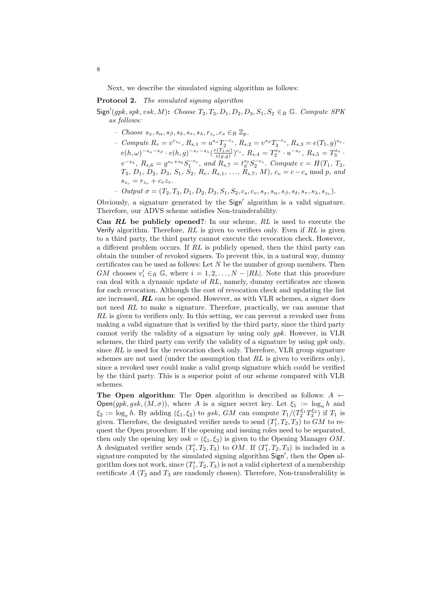Next, we describe the simulated signing algorithm as follows:

**Protocol 2.** *The simulated signing algorithm*

 $Sign'(gpk, spk, vsk, M)$ : *Choose*  $T_2, T_3, D_1, D_2, D_3, S_1, S_2 \in_R \mathbb{G}$ . *Compute SPK as follows:*

- $-$  *Choose*  $s_x, s_\alpha, s_\beta, s_\delta, s_\tau, s_\lambda, r_{z_v}, c_s \in_R \mathbb{Z}_p$ .
- Compute  $R_v = v^{r_{z_v}}, R_{s,1} = u^{s_{\alpha}} T_2^{-c_s}, R_{s,2} = v^{s_{\beta}} T_3^{-c_s}, R_{s,3} = e(T_1, g)^{s_x}.$  $e(h,\omega)^{-s_{\alpha}-s_{\beta}}\cdot e(h,g)^{-s_{\tau}-s_{\lambda}}(\frac{e(T_1,\omega)}{e(g,g)})^{c_s}, R_{s,4}=T_2^{s_x}\cdot u^{-s_{\tau}}, R_{s,5}=T_3^{s_x}\cdot$  $v^{-s_{\lambda}}, R_{s,6} = g^{s_x+s_{\delta}} S_1^{-c_s}$ , and  $R_{s,7} = t_d^{s_{\delta}} S_2^{-c_s}$ . Compute  $c = H(T_1, T_2, T_3)$  $T_3, D_1, D_2, D_3, S_1, S_2, R_v, R_{s,1}, \ldots, R_{s,7}, M$ ,  $c_v = c - c_s \mod p$ , and  $s_{z_v} = r_{z_v} + c_v z_v$ .
- Output  $\sigma = (T_2, T_3, D_1, D_2, D_3, S_1, S_2, c_s, c_v, s_x, s_{\alpha}, s_{\beta}, s_{\delta}, s_{\tau}, s_{\lambda}, s_{z_v}).$

Obviously, a signature generated by the Sign' algorithm is a valid signature. Therefore, our ADVS scheme satisfies Non-transferability.

**Can** *RL* **be publicly opened?**: In our scheme, *RL* is used to execute the Verify algorithm. Therefore, *RL* is given to verifiers only. Even if *RL* is given to a third party, the third party cannot execute the revocation check. However, a different problem occurs. If *RL* is publicly opened, then the third party can obtain the number of revoked signers. To prevent this, in a natural way, dummy certificates can be used as follows: Let *N* be the number of group members. Then *GM* chooses  $v'_i \in_R \mathbb{G}$ , where  $i = 1, 2, \ldots, N - |RL|$ . Note that this procedure can deal with a dynamic update of *RL*, namely, dummy certificates are chosen for each revocation. Although the cost of revocation check and updating the list are increased, *RL* can be opened. However, as with VLR schemes, a signer does not need RL to make a signature. Therefore, practically, we can assume that *RL* is given to verifiers only. In this setting, we can prevent a revoked user from making a valid signature that is verified by the third party, since the third party cannot verify the validity of a signature by using only *gpk*. However, in VLR schemes, the third party can verify the validity of a signature by using *gpk* only, since *RL* is used for the revocation check only. Therefore, VLR group signature schemes are not used (under the assumption that  $RL$  is given to verifiers only), since a revoked user could make a valid group signature which could be verified by the third party. This is a superior point of our scheme compared with VLR schemes.

**The Open algorithm**: The Open algorithm is described as follows: *A ←*  $Open(gpk, gsk, (M, \sigma))$ , where *A* is a signer secret key. Let  $\xi_1 := \log_u h$  and  $\xi_2 := \log_v h$ . By adding  $(\xi_1, \xi_2)$  to *gsk, GM* can compute  $T_1/(T_2^{\xi_1}T_3^{\xi_2})$  if  $T_1$  is given. Therefore, the designated verifier needs to send  $(T'_1, T_2, T_3)$  to  $GM$  to request the Open procedure. If the opening and issuing roles need to be separated, then only the opening key  $osk = (\xi_1, \xi_2)$  is given to the Opening Manager *OM*. A designated verifier sends  $(T_1', T_2, T_3)$  to *OM*. If  $(T_1', T_2, T_3)$  is included in a signature computed by the simulated signing algorithm Sign<sup>'</sup>, then the Open algorithm does not work, since  $(T_1', T_2, T_3)$  is not a valid ciphertext of a membership certificate  $A(T_2 \text{ and } T_3 \text{ are randomly chosen})$ . Therefore, Non-transferability is

8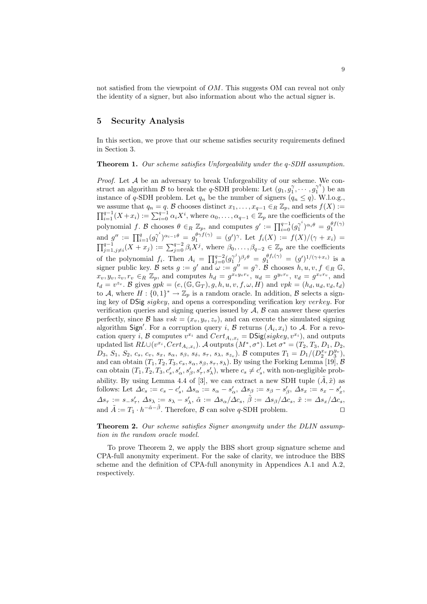not satisfied from the viewpoint of *OM*. This suggests OM can reveal not only the identity of a signer, but also information about who the actual signer is.

## **5 Security Analysis**

In this section, we prove that our scheme satisfies security requirements defined in Section 3.

#### **Theorem 1.** *Our scheme satisfies Unforgeability under the q-SDH assumption.*

*Proof.* Let A be an adversary to break Unforgeability of our scheme. We construct an algorithm *B* to break the *q*-SDH problem: Let  $(g_1, g_1^{\gamma}, \dots, g_1^{\gamma^q})$  $\binom{\gamma}{1}$  be an instance of *q*-SDH problem. Let  $q_n$  be the number of signers  $(q_n \leq q)$ . W.l.o.g., we assume that  $q_n = q$ . *B* chooses distinct  $x_1, \ldots, x_{q-1} \in_R \mathbb{Z}_p$ , and sets  $f(X) :=$  $\prod_{i=1}^{q-1} (X + x_i) := \sum_{i=0}^{q-1} \alpha_i X^i$ , where  $\alpha_0, \ldots, \alpha_{q-1} \in \mathbb{Z}_p$  are the coefficients of the polynomial *f*. *B* chooses  $\theta \in R \mathbb{Z}_p$ , and computes  $g' := \prod_{i=0}^{q-1} (g_i^{\gamma^i})$  $(g_1^{\gamma^i})^{\alpha_i \theta} = g_1^{\theta f(\gamma)}$ and  $g'' := \prod_{i=1}^{q} (g_1^{\gamma^i})$  $\int_{1}^{\gamma^*} \int_{1}^{\alpha_{i-1}\theta} f(y) dy = (g')^{\gamma}$ . Let  $f_i(X) := f(X)/(\gamma + x_i) =$  $\prod_{j=1,j\neq i}^{q-1} (X + x_j) := \sum_{j=0}^{q-2} \beta_i X^j$ , where  $\beta_0,\ldots,\beta_{q-2} \in \mathbb{Z}_p$  are the coefficients of the polynomial  $f_i$ . Then  $A_i = \prod_{j=0}^{q-2} (g_1^{\gamma^j})$  $\int_{1}^{\gamma^{j}} \int_{1}^{\beta_{j} \theta} = g_{1}^{\theta f_{i}(\gamma)} = (g')^{1/(\gamma + x_{i})}$  is a signer public key. *B* sets  $g := g'$  and  $\omega := g'' = g^{\gamma}$ . *B* chooses  $h, u, v, f \in_R \mathbb{G}$ ,  $x_v, y_v, z_v, r_v \in_R \mathbb{Z}_p$ , and computes  $h_d = g^{x_v y_v r_v}$ ,  $u_d = g^{y_v r_v}$ ,  $v_d = g^{x_v r_v}$ , and  $t_d = v^{z_v}$ . B gives  $gpk = (e, (\mathbb{G}, \mathbb{G}_T), g, h, u, v, f, \omega, H)$  and  $vpk = (h_d, u_d, v_d, t_d)$ to *A*, where  $H: \{0,1\}^* \to \mathbb{Z}_p$  is a random oracle. In addition, *B* selects a signing key of DSig *sigkey*, and opens a corresponding verification key *verkey*. For verification queries and signing queries issued by  $A$ ,  $B$  can answer these queries perfectly, since  $\mathcal{B}$  has  $vsk = (x_v, y_v, z_v)$ , and can execute the simulated signing algorithm Sign<sup>'</sup>. For a corruption query *i*,  $\beta$  returns  $(A_i, x_i)$  to  $\mathcal{A}$ . For a revocation query *i*, *B* computes  $v^{x_i}$  and  $Cert_{A_i,x_i} = \text{DSig}(sigkey, v^{x_i})$ , and outputs updated list  $RL\cup (v^{x_i},Cert_{A_i,x_i})$ . A outputs  $(M^*, \sigma^*)$ . Let  $\sigma^* = (T_2, T_3, D_1, D_2,$  $D_3, S_1, S_2, c_s, c_v, s_x, s_\alpha, s_\beta, s_\delta, s_\tau, s_\lambda, s_{z_v}).$  B computes  $T_1 = D_1/(D_2^{x_v} D_3^{y_v}),$ and can obtain  $(T_1, T_2, T_3, c_s, s_\alpha, s_\beta, s_\tau, s_\lambda)$ . By using the Forking Lemma [19], *B* can obtain  $(T_1, T_2, T_3, c_s', s_\alpha', s_\beta', s_\tau', s_\lambda')$ , where  $c_s \neq c_s'$ , with non-negligible probability. By using Lemma 4.4 of [3], we can extract a new SDH tuple  $(\tilde{A}, \tilde{x})$  as follows: Let  $\Delta c_s := c_s - c'_s$ ,  $\Delta s_\alpha := s_\alpha - s'_\alpha$ ,  $\Delta s_\beta := s_\beta - s'_\beta$ ,  $\Delta s_x := s_x - s'_x$ ,  $\Delta s_\tau := s_- s'_\tau,\, \Delta s_\lambda := s_\lambda - s'_\lambda,\, \tilde\alpha := \Delta s_\alpha / \Delta c_s,\, \tilde\beta := \Delta s_\beta / \Delta c_s,\, \tilde x := \Delta s_x / \Delta c_s,$ and  $\tilde{A} := T_1 \cdot h^{-\tilde{\alpha} - \tilde{\beta}}$ . Therefore,  $\beta$  can solve *q*-SDH problem.  $\square$ 

**Theorem 2.** *Our scheme satisfies Signer anonymity under the DLIN assumption in the random oracle model.*

To prove Theorem 2, we apply the BBS short group signature scheme and CPA-full anonymity experiment. For the sake of clarity, we introduce the BBS scheme and the definition of CPA-full anonymity in Appendices A.1 and A.2, respectively.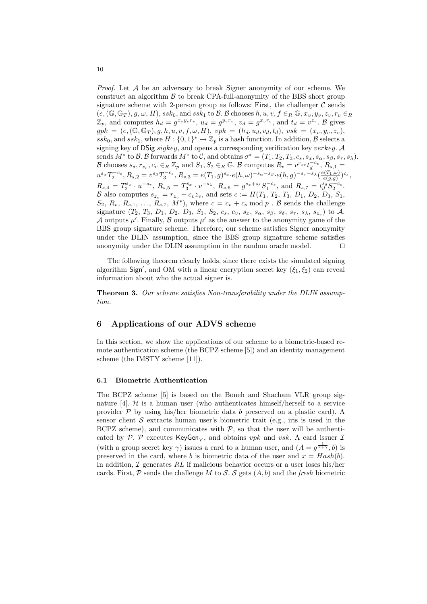*Proof.* Let *A* be an adversary to break Signer anonymity of our scheme. We construct an algorithm  $\beta$  to break CPA-full-anonymity of the BBS short group signature scheme with 2-person group as follows: First, the challenger  $C$  sends  $(e, (\mathbb{G}, \mathbb{G}_T), g, \omega, H),$  ssk<sub>0</sub>, and ssk<sub>1</sub> to B. B chooses h, u, v,  $f \in_R \mathbb{G}, x_v, y_v, z_v, r_v \in_R$  $\mathbb{Z}_p$ , and computes  $h_d = g^{x_v y_v r_v}$ ,  $u_d = g^{y_v r_v}$ ,  $v_d = g^{x_v r_v}$ , and  $t_d = v^{z_v}$ . B gives  $gpk = (e, (\mathbb{G}, \mathbb{G}_T), g, h, u, v, f, \omega, H), vpk = (h_d, u_d, v_d, t_d), vsk = (x_v, y_v, z_v),$  $ssk_0$ , and  $ssk_1$ , where  $H: \{0,1\}^* \to \mathbb{Z}_p$  is a hash function. In addition,  $B$  selects a signing key of DSig *sigkey*, and opens a corresponding verification key *verkey*. *A* sends  $M^*$  to  $\mathcal{B}$ .  $\mathcal{B}$  forwards  $M^*$  to  $\mathcal{C}$ , and obtains  $\sigma^* = (T_1, T_2, T_3, c_s, s_x, s_\alpha, s_\beta, s_\tau, s_\lambda)$ . B chooses  $s_{\delta}, r_{z_v}, c_v \in_R \mathbb{Z}_p$  and  $S_1, S_2 \in_R \mathbb{G}$ . B computes  $R_v = v^{r_{z_v}} t_d^{-c_v}, R_{s,1} =$  $u^{s_\alpha}T_2^{-c_s}, R_{s,2}=v^{s_\beta}T_3^{-c_s}, R_{s,3}=e(T_1,g)^{s_x}\cdot e(h,\omega)^{-s_\alpha-s_\beta}\cdot e(h,g)^{-s_\tau-s_\lambda}(\frac{e(T_1,\omega)}{e(g,g)})^{c_s},$  $R_{s,4} = T_2^{s_x} \cdot u^{-s_\tau}, R_{s,5} = T_3^{s_x} \cdot v^{-s_\lambda}, R_{s,6} = g^{s_x+s_\delta} S_1^{-c_s}, \text{ and } R_{s,7} = t_d^{s_\delta} S_2^{-c_s}.$ *B* also computes  $s_{z_v} = r_{z_v} + c_v z_v$ , and sets  $c := H(T_1, T_2, T_3, D_1, D_2, D_3, S_1,$  $S_2, R_v, R_{s,1}, \ldots, R_{s,7}, M^*$ , where  $c = c_v + c_s \mod p$ . *B* sends the challenge signature  $(T_2, T_3, D_1, D_2, D_3, S_1, S_2, c_s, c_v, s_x, s_{\alpha}, s_{\beta}, s_{\delta}, s_{\tau}, s_{\lambda}, s_{z_v})$  to A. *A* outputs  $\mu'$ . Finally, *B* outputs  $\mu'$  as the answer to the anonymity game of the BBS group signature scheme. Therefore, our scheme satisfies Signer anonymity under the DLIN assumption, since the BBS group signature scheme satisfies anonymity under the DLIN assumption in the random oracle model.  $\Box$ 

The following theorem clearly holds, since there exists the simulated signing algorithm Sign<sup>'</sup>, and OM with a linear encryption secret key  $(\xi_1, \xi_2)$  can reveal information about who the actual signer is.

**Theorem 3.** *Our scheme satisfies Non-transferability under the DLIN assumption.*

## **6 Applications of our ADVS scheme**

In this section, we show the applications of our scheme to a biometric-based remote authentication scheme (the BCPZ scheme [5]) and an identity management scheme (the IMSTY scheme [11]).

#### **6.1 Biometric Authentication**

The BCPZ scheme [5] is based on the Boneh and Shacham VLR group signature  $[4]$ .  $H$  is a human user (who authenticates himself/herself to a service provider *P* by using his/her biometric data *b* preserved on a plastic card). A sensor client  $S$  extracts human user's biometric trait (e.g., iris is used in the BCPZ scheme), and communicates with  $P$ , so that the user will be authenticated by *P*. *P* executes KeyGen*<sup>V</sup>* , and obtains *vpk* and *vsk*. A card issuer *I* (with a group secret key  $\gamma$ ) issues a card to a human user, and  $(A = g^{\frac{1}{x + \gamma}}, b)$  is preserved in the card, where *b* is biometric data of the user and  $x = Hash(b)$ . In addition, *I* generates *RL* if malicious behavior occurs or a user loses his/her cards. First,  $P$  sends the challenge  $M$  to  $S$ .  $S$  gets  $(A, b)$  and the *fresh* biometric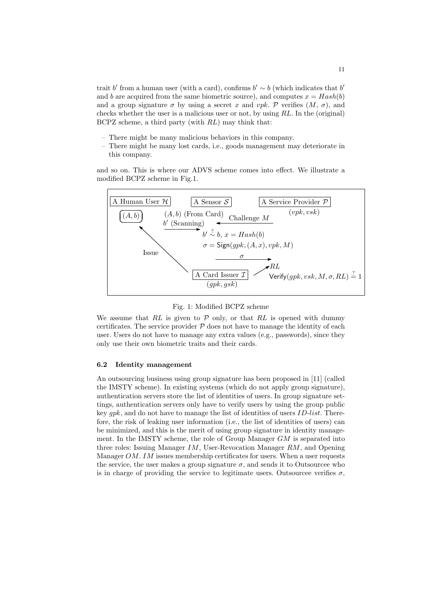trait *b*' from a human user (with a card), confirms  $b' \sim b$  (which indicates that *b*' and *b* are acquired from the same biometric source), and computes  $x = Hash(b)$ and a group signature  $\sigma$  by using a secret *x* and *vpk*.  $\mathcal P$  verifies  $(M, \sigma)$ , and checks whether the user is a malicious user or not, by using *RL*. In the (original) BCPZ scheme, a third party (with *RL*) may think that:

- There might be many malicious behaviors in this company.
- There might be many lost cards, i.e., goods management may deteriorate in this company.

and so on. This is where our ADVS scheme comes into effect. We illustrate a modified BCPZ scheme in Fig.1.



#### Fig. 1: Modified BCPZ scheme

We assume that  $RL$  is given to  $P$  only, or that  $RL$  is opened with dummy certificates. The service provider  $P$  does not have to manage the identity of each user. Users do not have to manage any extra values (e.g., passwords), since they only use their own biometric traits and their cards.

#### **6.2 Identity management**

An outsourcing business using group signature has been proposed in [11] (called the IMSTY scheme). In existing systems (which do not apply group signature), authentication servers store the list of identities of users. In group signature settings, authentication servers only have to verify users by using the group public key *gpk*, and do not have to manage the list of identities of users *ID*-*list*. Therefore, the risk of leaking user information (i.e., the list of identities of users) can be minimized, and this is the merit of using group signature in identity management. In the IMSTY scheme, the role of Group Manager *GM* is separated into three roles: Issuing Manager *IM*, User-Revocation Manager *RM*, and Opening Manager *OM*. *IM* issues membership certificates for users. When a user requests the service, the user makes a group signature  $\sigma$ , and sends it to Outsourcee who is in charge of providing the service to legitimate users. Outsourcee verifies  $\sigma$ ,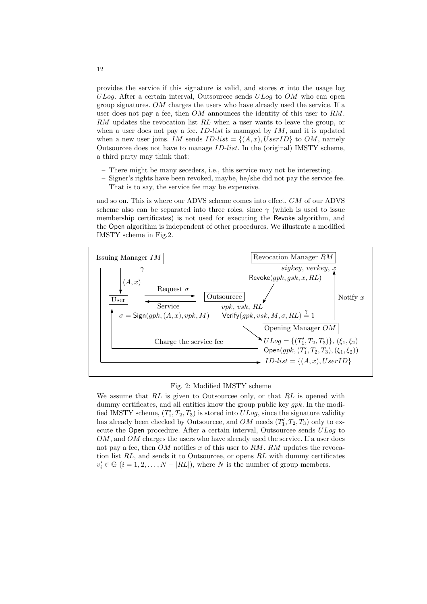provides the service if this signature is valid, and stores  $\sigma$  into the usage log *ULog*. After a certain interval, Outsourcee sends *ULog* to *OM* who can open group signatures. *OM* charges the users who have already used the service. If a user does not pay a fee, then *OM* announces the identity of this user to *RM*. *RM* updates the revocation list *RL* when a user wants to leave the group, or when a user does not pay a fee. *ID*-*list* is managed by *IM*, and it is updated when a new user joins. *IM* sends  $ID-list = \{(A, x), UserID\}$  to  $OM$ , namely Outsourcee does not have to manage *ID*-*list*. In the (original) IMSTY scheme, a third party may think that:

- There might be many seceders, i.e., this service may not be interesting.
- Signer's rights have been revoked, maybe, he/she did not pay the service fee. That is to say, the service fee may be expensive.

and so on. This is where our ADVS scheme comes into effect. *GM* of our ADVS scheme also can be separated into three roles, since  $\gamma$  (which is used to issue membership certificates) is not used for executing the Revoke algorithm, and the Open algorithm is independent of other procedures. We illustrate a modified IMSTY scheme in Fig.2.



#### Fig. 2: Modified IMSTY scheme

We assume that *RL* is given to Outsourcee only, or that *RL* is opened with dummy certificates, and all entities know the group public key *gpk*. In the modified IMSTY scheme,  $(T_1', T_2, T_3)$  is stored into  $ULog$ , since the signature validity has already been checked by Outsourcee, and  $OM$  needs  $(T'_1, T_2, T_3)$  only to execute the Open procedure. After a certain interval, Outsourcee sends *ULog* to *OM*, and *OM* charges the users who have already used the service. If a user does not pay a fee, then *OM* notifies *x* of this user to *RM*. *RM* updates the revocation list *RL*, and sends it to Outsourcee, or opens *RL* with dummy certificates  $v'_{i} \in \mathbb{G}$  (*i* = 1, 2, . . . ,  $N - |RL|$ ), where *N* is the number of group members.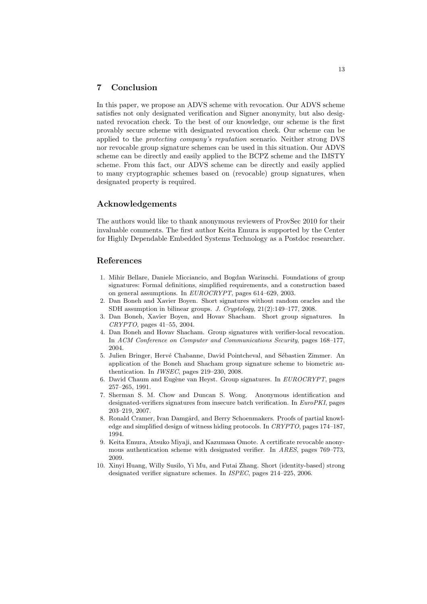## **7 Conclusion**

In this paper, we propose an ADVS scheme with revocation. Our ADVS scheme satisfies not only designated verification and Signer anonymity, but also designated revocation check. To the best of our knowledge, our scheme is the first provably secure scheme with designated revocation check. Our scheme can be applied to the *protecting company's reputation* scenario. Neither strong DVS nor revocable group signature schemes can be used in this situation. Our ADVS scheme can be directly and easily applied to the BCPZ scheme and the IMSTY scheme. From this fact, our ADVS scheme can be directly and easily applied to many cryptographic schemes based on (revocable) group signatures, when designated property is required.

## **Acknowledgements**

The authors would like to thank anonymous reviewers of ProvSec 2010 for their invaluable comments. The first author Keita Emura is supported by the Center for Highly Dependable Embedded Systems Technology as a Postdoc researcher.

#### **References**

- 1. Mihir Bellare, Daniele Micciancio, and Bogdan Warinschi. Foundations of group signatures: Formal definitions, simplified requirements, and a construction based on general assumptions. In *EUROCRYPT*, pages 614–629, 2003.
- 2. Dan Boneh and Xavier Boyen. Short signatures without random oracles and the SDH assumption in bilinear groups. *J. Cryptology*, 21(2):149–177, 2008.
- 3. Dan Boneh, Xavier Boyen, and Hovav Shacham. Short group signatures. In *CRYPTO*, pages 41–55, 2004.
- 4. Dan Boneh and Hovav Shacham. Group signatures with verifier-local revocation. In *ACM Conference on Computer and Communications Security*, pages 168–177, 2004.
- 5. Julien Bringer, Hervé Chabanne, David Pointcheval, and Sébastien Zimmer. An application of the Boneh and Shacham group signature scheme to biometric authentication. In *IWSEC*, pages 219–230, 2008.
- 6. David Chaum and Eugène van Heyst. Group signatures. In *EUROCRYPT*, pages 257–265, 1991.
- 7. Sherman S. M. Chow and Duncan S. Wong. Anonymous identification and designated-verifiers signatures from insecure batch verification. In *EuroPKI*, pages 203–219, 2007.
- 8. Ronald Cramer, Ivan Damgård, and Berry Schoenmakers. Proofs of partial knowledge and simplified design of witness hiding protocols. In *CRYPTO*, pages 174–187, 1994.
- 9. Keita Emura, Atsuko Miyaji, and Kazumasa Omote. A certificate revocable anonymous authentication scheme with designated verifier. In *ARES*, pages 769–773, 2009.
- 10. Xinyi Huang, Willy Susilo, Yi Mu, and Futai Zhang. Short (identity-based) strong designated verifier signature schemes. In *ISPEC*, pages 214–225, 2006.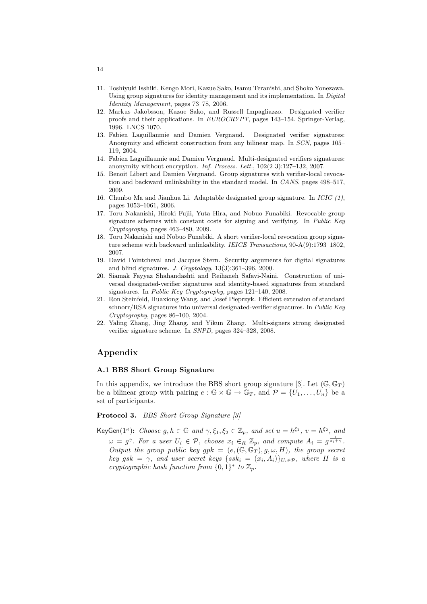- 11. Toshiyuki Isshiki, Kengo Mori, Kazue Sako, Isamu Teranishi, and Shoko Yonezawa. Using group signatures for identity management and its implementation. In *Digital Identity Management*, pages 73–78, 2006.
- 12. Markus Jakobsson, Kazue Sako, and Russell Impagliazzo. Designated verifier proofs and their applications. In *EUROCRYPT*, pages 143–154. Springer-Verlag, 1996. LNCS 1070.
- 13. Fabien Laguillaumie and Damien Vergnaud. Designated verifier signatures: Anonymity and efficient construction from any bilinear map. In *SCN*, pages 105– 119, 2004.
- 14. Fabien Laguillaumie and Damien Vergnaud. Multi-designated verifiers signatures: anonymity without encryption. *Inf. Process. Lett.*, 102(2-3):127–132, 2007.
- 15. Benoit Libert and Damien Vergnaud. Group signatures with verifier-local revocation and backward unlinkability in the standard model. In *CANS*, pages 498–517, 2009.
- 16. Chunbo Ma and Jianhua Li. Adaptable designated group signature. In *ICIC (1)*, pages 1053–1061, 2006.
- 17. Toru Nakanishi, Hiroki Fujii, Yuta Hira, and Nobuo Funabiki. Revocable group signature schemes with constant costs for signing and verifying. In *Public Key Cryptography*, pages 463–480, 2009.
- 18. Toru Nakanishi and Nobuo Funabiki. A short verifier-local revocation group signature scheme with backward unlinkability. *IEICE Transactions*, 90-A(9):1793–1802, 2007.
- 19. David Pointcheval and Jacques Stern. Security arguments for digital signatures and blind signatures. *J. Cryptology*, 13(3):361–396, 2000.
- 20. Siamak Fayyaz Shahandashti and Reihaneh Safavi-Naini. Construction of universal designated-verifier signatures and identity-based signatures from standard signatures. In *Public Key Cryptography*, pages 121–140, 2008.
- 21. Ron Steinfeld, Huaxiong Wang, and Josef Pieprzyk. Efficient extension of standard schnorr/RSA signatures into universal designated-verifier signatures. In *Public Key Cryptography*, pages 86–100, 2004.
- 22. Yaling Zhang, Jing Zhang, and Yikun Zhang. Multi-signers strong designated verifier signature scheme. In *SNPD*, pages 324–328, 2008.

## **Appendix**

#### **A.1 BBS Short Group Signature**

In this appendix, we introduce the BBS short group signature [3]. Let  $(\mathbb{G}, \mathbb{G}_T)$ be a bilinear group with pairing  $e : \mathbb{G} \times \mathbb{G} \to \mathbb{G}_T$ , and  $\mathcal{P} = \{U_1, \ldots, U_n\}$  be a set of participants.

**Protocol 3.** *BBS Short Group Signature [3]*

 $\mathsf{KeyGen}(1^{\kappa})$ : *Choose*  $g, h \in \mathbb{G}$  and  $\gamma, \xi_1, \xi_2 \in \mathbb{Z}_p$ , and set  $u = h^{\xi_1}, v = h^{\xi_2},$  and  $\omega = g^{\gamma}$ . For a user  $U_i \in \mathcal{P}$ , choose  $x_i \in_R \mathbb{Z}_p$ , and compute  $A_i = g^{\frac{1}{x_i + \gamma}}$ . *Output the group public key*  $gpk = (e, (\mathbb{G}, \mathbb{G}_T), g, \omega, H)$ *, the group secret key*  $gsk = \gamma$ , and user secret keys  $\{ssk_i = (x_i, A_i)\}_{U_i \in \mathcal{P}}$ , where *H* is a *cryptographic hash function from*  $\{0,1\}^*$  to  $\mathbb{Z}_p$ *.* 

14